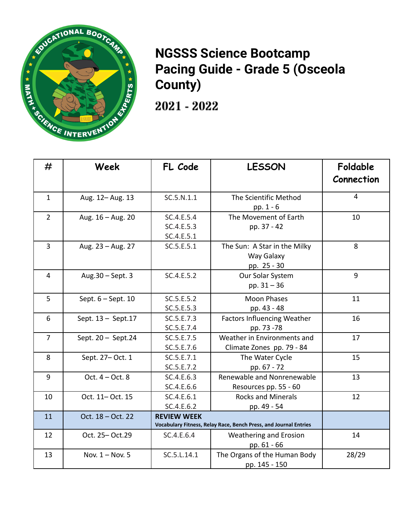

## **NGSSS Science Bootcamp Pacing Guide - Grade 5 (Osceola County)**

2021 - 2022

| #              | Week                | FL Code                                                                                | <b>LESSON</b>                                             | Foldable<br>Connection |
|----------------|---------------------|----------------------------------------------------------------------------------------|-----------------------------------------------------------|------------------------|
| $\mathbf{1}$   | Aug. 12- Aug. 13    | SC.5.N.1.1                                                                             | The Scientific Method<br>pp. 1 - 6                        | $\overline{4}$         |
| $\overline{2}$ | Aug. 16 - Aug. 20   | SC.4.E.5.4<br>SC.4.E.5.3<br>SC.4.E.5.1                                                 | The Movement of Earth<br>pp. 37 - 42                      | 10                     |
| 3              | Aug. 23 - Aug. 27   | SC.5.E.5.1                                                                             | The Sun: A Star in the Milky<br>Way Galaxy<br>pp. 25 - 30 | 8                      |
| $\overline{4}$ | Aug. 30 - Sept. 3   | SC.4.E.5.2                                                                             | Our Solar System<br>pp. 31 - 36                           | 9                      |
| 5              | Sept. 6 - Sept. 10  | SC.5.E.5.2<br>SC.5.E.5.3                                                               | <b>Moon Phases</b><br>pp. 43 - 48                         | 11                     |
| 6              | Sept. 13 - Sept. 17 | SC.5.E.7.3<br>SC.5.E.7.4                                                               | <b>Factors Influencing Weather</b><br>pp. 73 -78          | 16                     |
| $\overline{7}$ | Sept. 20 - Sept.24  | SC.5.E.7.5<br>SC.5.E.7.6                                                               | Weather in Environments and<br>Climate Zones pp. 79 - 84  | 17                     |
| 8              | Sept. 27-Oct. 1     | SC.5.E.7.1<br>SC.5.E.7.2                                                               | The Water Cycle<br>pp. 67 - 72                            | 15                     |
| 9              | Oct. $4 - Oct. 8$   | SC.4.E.6.3<br>SC.4.E.6.6                                                               | Renewable and Nonrenewable<br>Resources pp. 55 - 60       | 13                     |
| 10             | Oct. 11- Oct. 15    | SC.4.E.6.1<br>SC.4.E.6.2                                                               | <b>Rocks and Minerals</b><br>pp. 49 - 54                  | 12                     |
| 11             | Oct. 18 - Oct. 22   | <b>REVIEW WEEK</b><br>Vocabulary Fitness, Relay Race, Bench Press, and Journal Entries |                                                           |                        |
| 12             | Oct. 25-Oct.29      | SC.4.E.6.4                                                                             | Weathering and Erosion<br>pp. 61 - 66                     | 14                     |
| 13             | Nov. 1 - Nov. 5     | SC.5.L.14.1                                                                            | The Organs of the Human Body<br>pp. 145 - 150             | 28/29                  |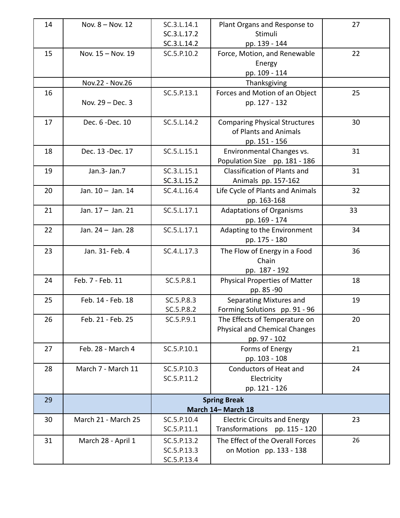| 14 | Nov. 8 - Nov. 12    | SC.3.L.14.1        | Plant Organs and Response to         | 27 |  |  |
|----|---------------------|--------------------|--------------------------------------|----|--|--|
|    |                     | SC.3.L.17.2        | Stimuli                              |    |  |  |
|    |                     | SC.3.L.14.2        | pp. 139 - 144                        |    |  |  |
| 15 | Nov. 15 - Nov. 19   | SC.5.P.10.2        | Force, Motion, and Renewable         | 22 |  |  |
|    |                     |                    | Energy                               |    |  |  |
|    |                     |                    | pp. 109 - 114                        |    |  |  |
|    | Nov.22 - Nov.26     |                    | Thanksgiving                         |    |  |  |
| 16 |                     | SC.5.P.13.1        | Forces and Motion of an Object       | 25 |  |  |
|    | Nov. 29 - Dec. 3    |                    | pp. 127 - 132                        |    |  |  |
|    |                     |                    |                                      |    |  |  |
| 17 | Dec. 6 - Dec. 10    | SC.5.L.14.2        | <b>Comparing Physical Structures</b> | 30 |  |  |
|    |                     |                    | of Plants and Animals                |    |  |  |
|    |                     |                    | pp. 151 - 156                        |    |  |  |
| 18 | Dec. 13 - Dec. 17   | SC.5.L.15.1        | Environmental Changes vs.            | 31 |  |  |
|    |                     |                    | Population Size pp. 181 - 186        |    |  |  |
| 19 | Jan.3- Jan.7        | SC.3.L.15.1        | Classification of Plants and         | 31 |  |  |
|    |                     | SC.3.L.15.2        | Animals pp. 157-162                  |    |  |  |
| 20 | Jan. 10 - Jan. 14   | SC.4.L.16.4        | Life Cycle of Plants and Animals     | 32 |  |  |
|    |                     |                    | pp. 163-168                          |    |  |  |
| 21 | Jan. 17 - Jan. 21   | SC.5.L.17.1        | <b>Adaptations of Organisms</b>      | 33 |  |  |
|    |                     |                    | pp. 169 - 174                        |    |  |  |
| 22 | Jan. 24 - Jan. 28   | SC.5.L.17.1        | Adapting to the Environment          | 34 |  |  |
|    |                     |                    | pp. 175 - 180                        |    |  |  |
| 23 | Jan. 31- Feb. 4     | SC.4.L.17.3        | The Flow of Energy in a Food         | 36 |  |  |
|    |                     |                    | Chain                                |    |  |  |
|    |                     |                    | pp. 187 - 192                        |    |  |  |
| 24 | Feb. 7 - Feb. 11    | SC.5.P.8.1         | <b>Physical Properties of Matter</b> | 18 |  |  |
|    |                     |                    | pp. 85 - 90                          |    |  |  |
| 25 | Feb. 14 - Feb. 18   | SC.5.P.8.3         | Separating Mixtures and              | 19 |  |  |
|    |                     | SC.5.P.8.2         | Forming Solutions pp. 91 - 96        |    |  |  |
| 26 | Feb. 21 - Feb. 25   | SC.5.P.9.1         | The Effects of Temperature on        | 20 |  |  |
|    |                     |                    | <b>Physical and Chemical Changes</b> |    |  |  |
|    |                     |                    | pp. 97 - 102                         |    |  |  |
| 27 | Feb. 28 - March 4   | SC.5.P.10.1        | Forms of Energy                      | 21 |  |  |
|    |                     |                    | pp. 103 - 108                        |    |  |  |
| 28 | March 7 - March 11  | SC.5.P.10.3        | <b>Conductors of Heat and</b>        | 24 |  |  |
|    |                     | SC.5.P.11.2        | Electricity                          |    |  |  |
|    |                     |                    | pp. 121 - 126                        |    |  |  |
| 29 |                     |                    | <b>Spring Break</b>                  |    |  |  |
|    |                     | March 14- March 18 |                                      |    |  |  |
| 30 | March 21 - March 25 | SC.5.P.10.4        | <b>Electric Circuits and Energy</b>  | 23 |  |  |
|    |                     | SC.5.P.11.1        | Transformations pp. 115 - 120        |    |  |  |
| 31 | March 28 - April 1  | SC.5.P.13.2        | The Effect of the Overall Forces     | 26 |  |  |
|    |                     | SC.5.P.13.3        | on Motion pp. 133 - 138              |    |  |  |
|    |                     | SC.5.P.13.4        |                                      |    |  |  |